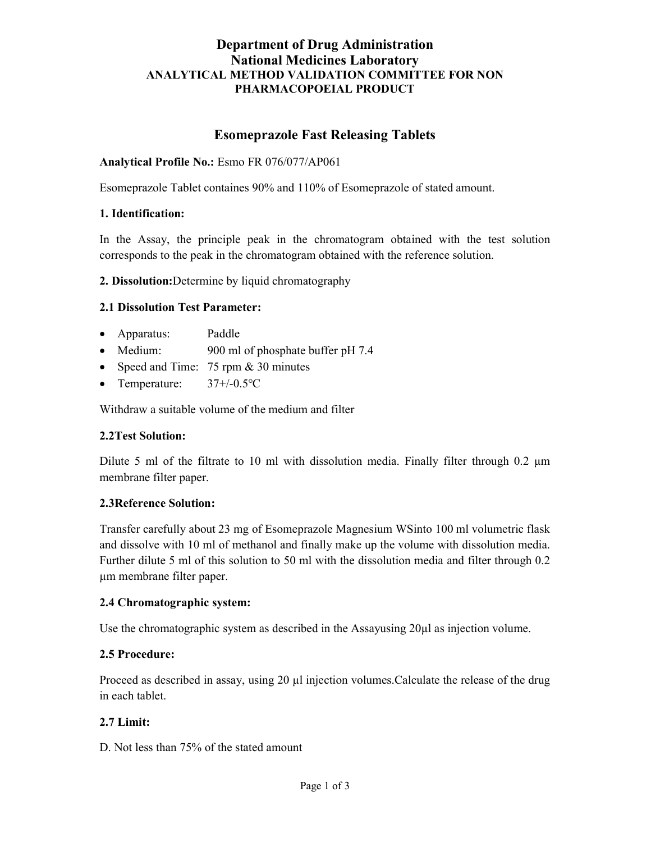## Department of Drug Administration National Medicines Laboratory ANALYTICAL METHOD VALIDATION COMMITTEE FOR NON PHARMACOPOEIAL PRODUCT

# Esomeprazole Fast Releasing Tablets

#### Analytical Profile No.: Esmo FR 076/077/AP061

Esomeprazole Tablet containes 90% and 110% of Esomeprazole of stated amount.

#### 1. Identification:

In the Assay, the principle peak in the chromatogram obtained with the test solution corresponds to the peak in the chromatogram obtained with the reference solution.

2. Dissolution:Determine by liquid chromatography

### 2.1 Dissolution Test Parameter:

- Apparatus: Paddle
- Medium: 900 ml of phosphate buffer pH 7.4
- Speed and Time:  $75$  rpm & 30 minutes
- Temperature: 37+/-0.5℃

Withdraw a suitable volume of the medium and filter

### 2.2Test Solution:

Dilute 5 ml of the filtrate to 10 ml with dissolution media. Finally filter through 0.2 µm membrane filter paper.

#### 2.3Reference Solution:

Transfer carefully about 23 mg of Esomeprazole Magnesium WSinto 100 ml volumetric flask and dissolve with 10 ml of methanol and finally make up the volume with dissolution media. Further dilute 5 ml of this solution to 50 ml with the dissolution media and filter through 0.2 µm membrane filter paper.

#### 2.4 Chromatographic system:

Use the chromatographic system as described in the Assayusing 20 µ as injection volume.

### 2.5 Procedure:

Proceed as described in assay, using 20 µl injection volumes.Calculate the release of the drug in each tablet.

### 2.7 Limit:

D. Not less than 75% of the stated amount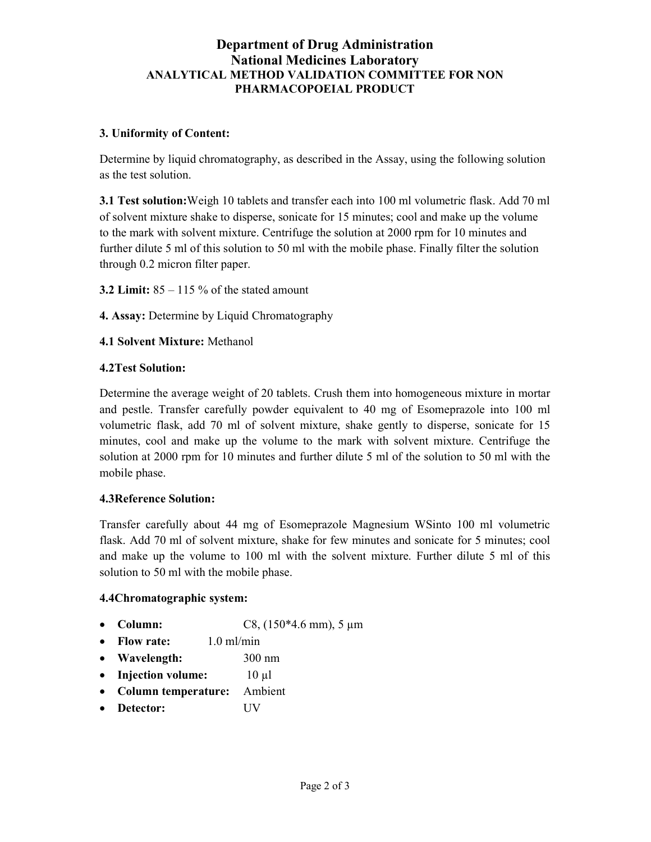# Department of Drug Administration National Medicines Laboratory ANALYTICAL METHOD VALIDATION COMMITTEE FOR NON PHARMACOPOEIAL PRODUCT

### 3. Uniformity of Content:

Determine by liquid chromatography, as described in the Assay, using the following solution as the test solution.

3.1 Test solution:Weigh 10 tablets and transfer each into 100 ml volumetric flask. Add 70 ml of solvent mixture shake to disperse, sonicate for 15 minutes; cool and make up the volume to the mark with solvent mixture. Centrifuge the solution at 2000 rpm for 10 minutes and further dilute 5 ml of this solution to 50 ml with the mobile phase. Finally filter the solution through 0.2 micron filter paper.

**3.2 Limit:**  $85 - 115$  % of the stated amount

4. Assay: Determine by Liquid Chromatography

4.1 Solvent Mixture: Methanol

### 4.2Test Solution:

Determine the average weight of 20 tablets. Crush them into homogeneous mixture in mortar and pestle. Transfer carefully powder equivalent to 40 mg of Esomeprazole into 100 ml volumetric flask, add 70 ml of solvent mixture, shake gently to disperse, sonicate for 15 minutes, cool and make up the volume to the mark with solvent mixture. Centrifuge the solution at 2000 rpm for 10 minutes and further dilute 5 ml of the solution to 50 ml with the mobile phase.

### 4.3Reference Solution:

Transfer carefully about 44 mg of Esomeprazole Magnesium WSinto 100 ml volumetric flask. Add 70 ml of solvent mixture, shake for few minutes and sonicate for 5 minutes; cool and make up the volume to 100 ml with the solvent mixture. Further dilute 5 ml of this solution to 50 ml with the mobile phase.

### 4.4Chromatographic system:

- Column:  $C8, (150*4.6 \text{ mm}), 5 \mu m$
- Flow rate: 1.0 ml/min
- Wavelength: 300 nm
- Injection volume:  $10 \mu l$
- Column temperature: Ambient
- Detector: UV